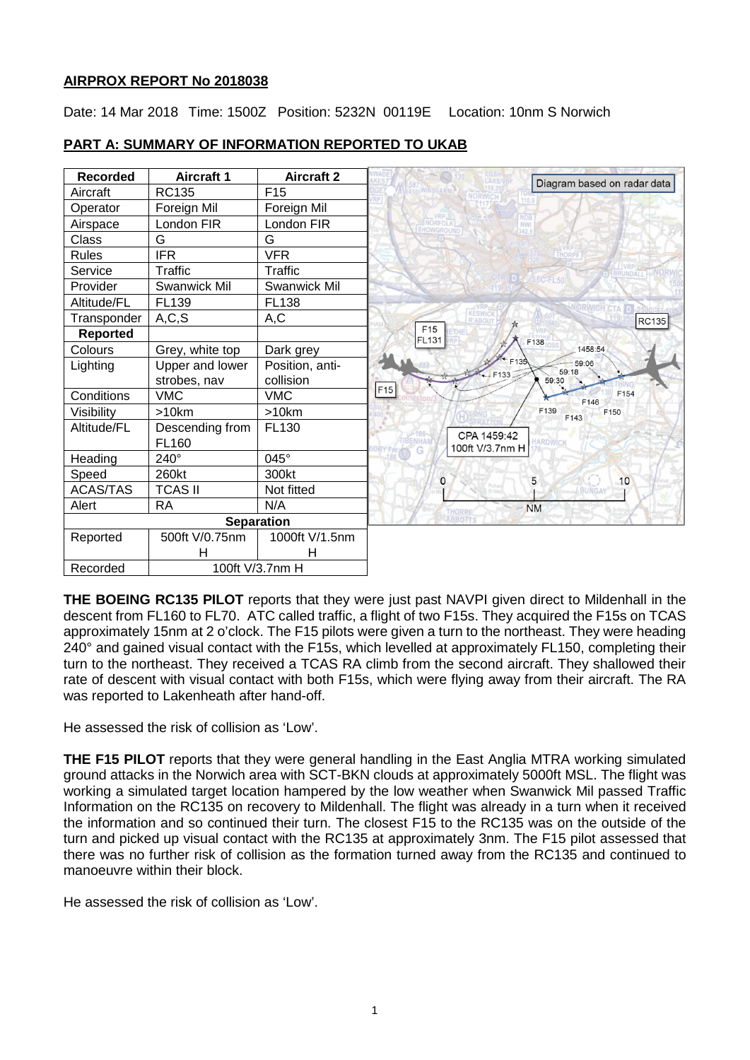### **AIRPROX REPORT No 2018038**

Date: 14 Mar 2018 Time: 1500Z Position: 5232N 00119E Location: 10nm S Norwich



# **PART A: SUMMARY OF INFORMATION REPORTED TO UKAB**

**THE BOEING RC135 PILOT** reports that they were just past NAVPI given direct to Mildenhall in the descent from FL160 to FL70. ATC called traffic, a flight of two F15s. They acquired the F15s on TCAS approximately 15nm at 2 o'clock. The F15 pilots were given a turn to the northeast. They were heading 240° and gained visual contact with the F15s, which levelled at approximately FL150, completing their turn to the northeast. They received a TCAS RA climb from the second aircraft. They shallowed their rate of descent with visual contact with both F15s, which were flying away from their aircraft. The RA was reported to Lakenheath after hand-off.

He assessed the risk of collision as 'Low'.

**THE F15 PILOT** reports that they were general handling in the East Anglia MTRA working simulated ground attacks in the Norwich area with SCT-BKN clouds at approximately 5000ft MSL. The flight was working a simulated target location hampered by the low weather when Swanwick Mil passed Traffic Information on the RC135 on recovery to Mildenhall. The flight was already in a turn when it received the information and so continued their turn. The closest F15 to the RC135 was on the outside of the turn and picked up visual contact with the RC135 at approximately 3nm. The F15 pilot assessed that there was no further risk of collision as the formation turned away from the RC135 and continued to manoeuvre within their block.

He assessed the risk of collision as 'Low'.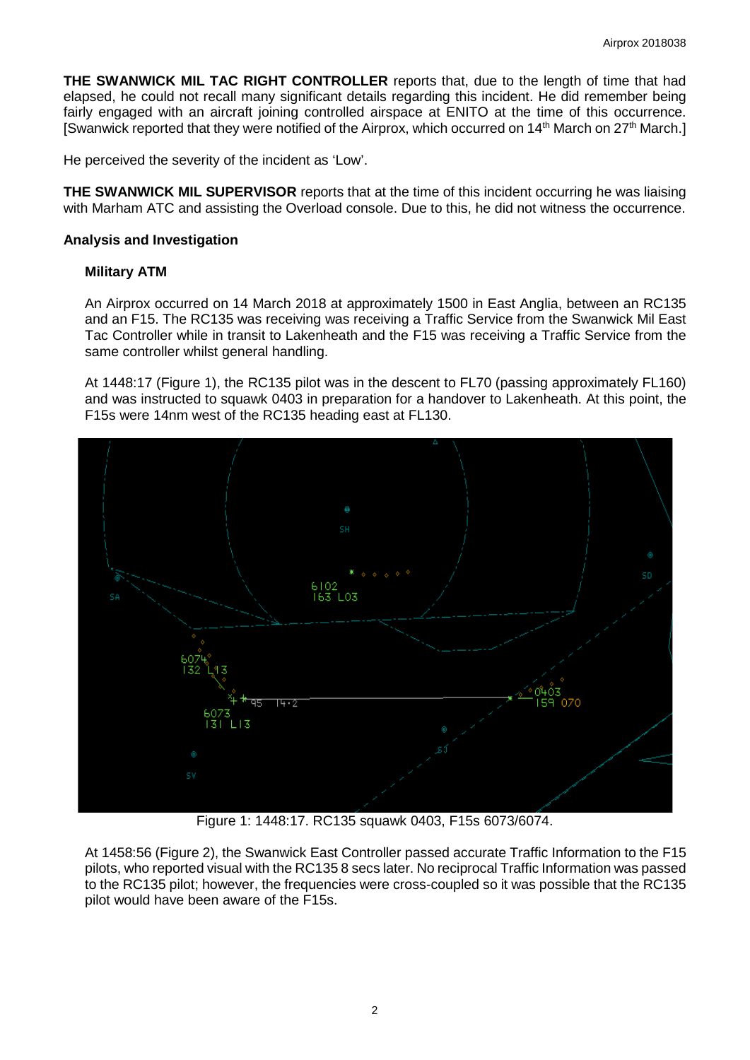**THE SWANWICK MIL TAC RIGHT CONTROLLER** reports that, due to the length of time that had elapsed, he could not recall many significant details regarding this incident. He did remember being fairly engaged with an aircraft joining controlled airspace at ENITO at the time of this occurrence. [Swanwick reported that they were notified of the Airprox, which occurred on 14<sup>th</sup> March on 27<sup>th</sup> March.]

He perceived the severity of the incident as 'Low'.

**THE SWANWICK MIL SUPERVISOR** reports that at the time of this incident occurring he was liaising with Marham ATC and assisting the Overload console. Due to this, he did not witness the occurrence.

#### **Analysis and Investigation**

#### **Military ATM**

An Airprox occurred on 14 March 2018 at approximately 1500 in East Anglia, between an RC135 and an F15. The RC135 was receiving was receiving a Traffic Service from the Swanwick Mil East Tac Controller while in transit to Lakenheath and the F15 was receiving a Traffic Service from the same controller whilst general handling.

At 1448:17 (Figure 1), the RC135 pilot was in the descent to FL70 (passing approximately FL160) and was instructed to squawk 0403 in preparation for a handover to Lakenheath. At this point, the F15s were 14nm west of the RC135 heading east at FL130.



Figure 1: 1448:17. RC135 squawk 0403, F15s 6073/6074.

At 1458:56 (Figure 2), the Swanwick East Controller passed accurate Traffic Information to the F15 pilots, who reported visual with the RC135 8 secs later. No reciprocal Traffic Information was passed to the RC135 pilot; however, the frequencies were cross-coupled so it was possible that the RC135 pilot would have been aware of the F15s.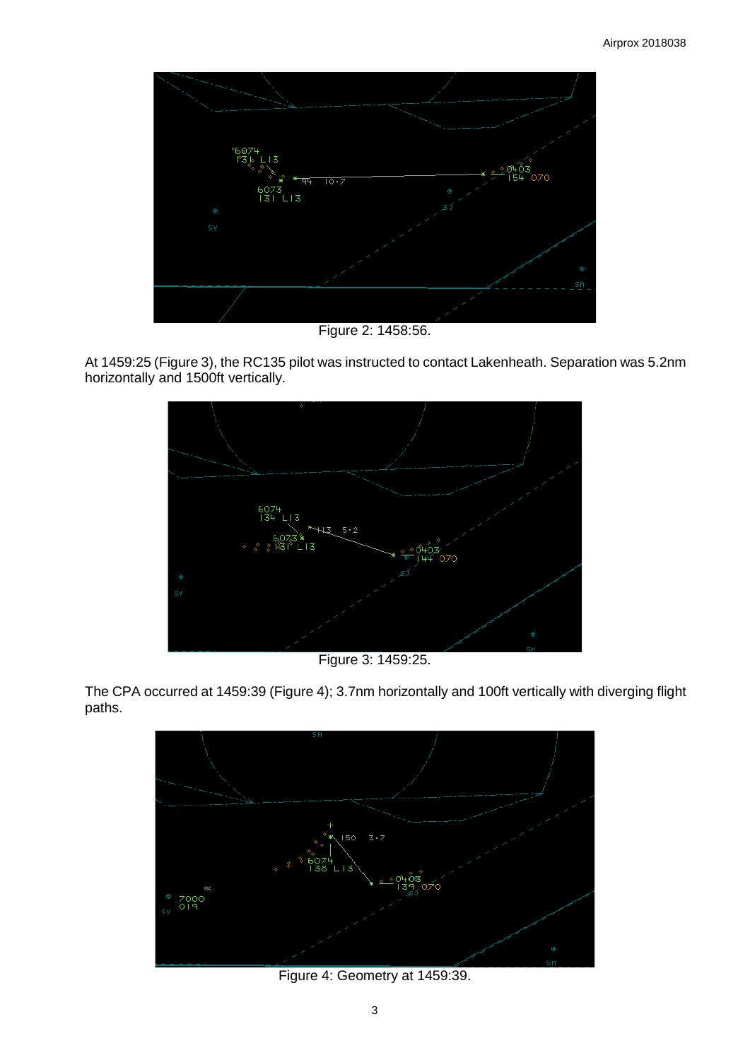

Figure 2: 1458:56.

At 1459:25 (Figure 3), the RC135 pilot was instructed to contact Lakenheath. Separation was 5.2nm horizontally and 1500ft vertically.



Figure 3: 1459:25.

The CPA occurred at 1459:39 (Figure 4); 3.7nm horizontally and 100ft vertically with diverging flight paths.



Figure 4: Geometry at 1459:39.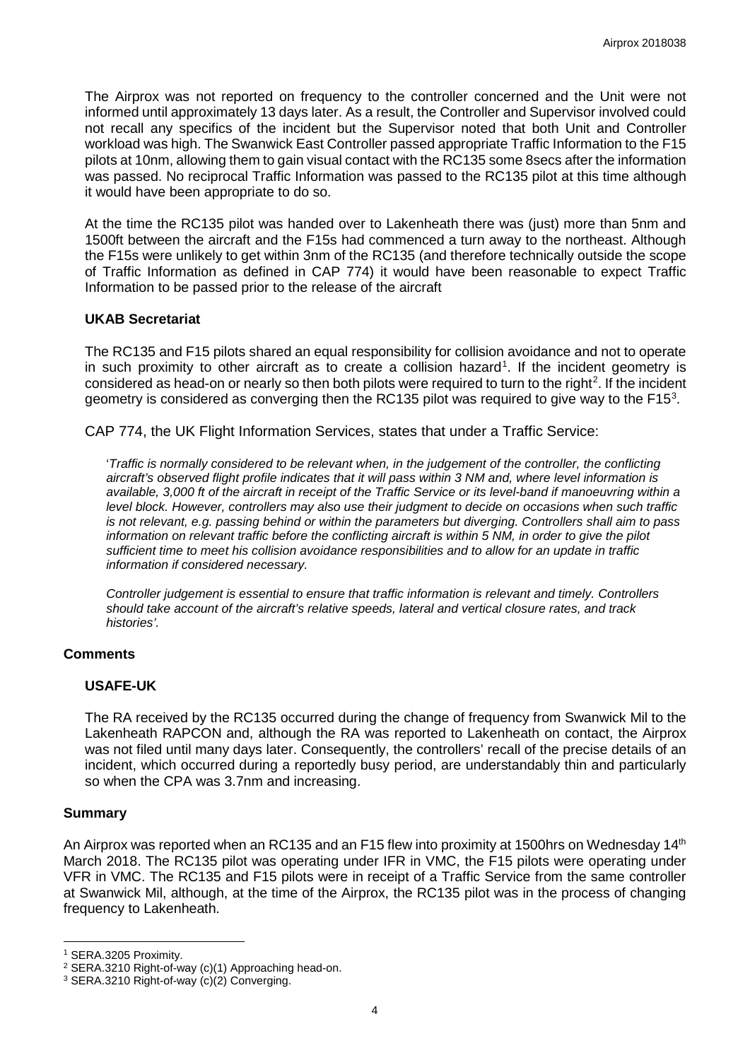The Airprox was not reported on frequency to the controller concerned and the Unit were not informed until approximately 13 days later. As a result, the Controller and Supervisor involved could not recall any specifics of the incident but the Supervisor noted that both Unit and Controller workload was high. The Swanwick East Controller passed appropriate Traffic Information to the F15 pilots at 10nm, allowing them to gain visual contact with the RC135 some 8secs after the information was passed. No reciprocal Traffic Information was passed to the RC135 pilot at this time although it would have been appropriate to do so.

At the time the RC135 pilot was handed over to Lakenheath there was (just) more than 5nm and 1500ft between the aircraft and the F15s had commenced a turn away to the northeast. Although the F15s were unlikely to get within 3nm of the RC135 (and therefore technically outside the scope of Traffic Information as defined in CAP 774) it would have been reasonable to expect Traffic Information to be passed prior to the release of the aircraft

#### **UKAB Secretariat**

The RC135 and F15 pilots shared an equal responsibility for collision avoidance and not to operate in such proximity to other aircraft as to create a collision hazard<sup>[1](#page-3-0)</sup>. If the incident geometry is considered as head-on or nearly so then both pilots were required to turn to the right<sup>[2](#page-3-1)</sup>. If the incident geometry is considered as converging then the RC1[3](#page-3-2)5 pilot was required to give way to the F15<sup>3</sup>.

CAP 774, the UK Flight Information Services, states that under a Traffic Service:

'*Traffic is normally considered to be relevant when, in the judgement of the controller, the conflicting aircraft's observed flight profile indicates that it will pass within 3 NM and, where level information is available, 3,000 ft of the aircraft in receipt of the Traffic Service or its level-band if manoeuvring within a level block. However, controllers may also use their judgment to decide on occasions when such traffic is not relevant, e.g. passing behind or within the parameters but diverging. Controllers shall aim to pass information on relevant traffic before the conflicting aircraft is within 5 NM, in order to give the pilot sufficient time to meet his collision avoidance responsibilities and to allow for an update in traffic information if considered necessary.* 

*Controller judgement is essential to ensure that traffic information is relevant and timely. Controllers should take account of the aircraft's relative speeds, lateral and vertical closure rates, and track histories'.* 

# **Comments**

# **USAFE-UK**

The RA received by the RC135 occurred during the change of frequency from Swanwick Mil to the Lakenheath RAPCON and, although the RA was reported to Lakenheath on contact, the Airprox was not filed until many days later. Consequently, the controllers' recall of the precise details of an incident, which occurred during a reportedly busy period, are understandably thin and particularly so when the CPA was 3.7nm and increasing.

# **Summary**

 $\overline{\phantom{a}}$ 

An Airprox was reported when an RC135 and an F15 flew into proximity at 1500hrs on Wednesday 14<sup>th</sup> March 2018. The RC135 pilot was operating under IFR in VMC, the F15 pilots were operating under VFR in VMC. The RC135 and F15 pilots were in receipt of a Traffic Service from the same controller at Swanwick Mil, although, at the time of the Airprox, the RC135 pilot was in the process of changing frequency to Lakenheath.

<span id="page-3-0"></span><sup>1</sup> SERA.3205 Proximity.

<span id="page-3-1"></span><sup>2</sup> SERA.3210 Right-of-way (c)(1) Approaching head-on.

<span id="page-3-2"></span><sup>3</sup> SERA.3210 Right-of-way (c)(2) Converging.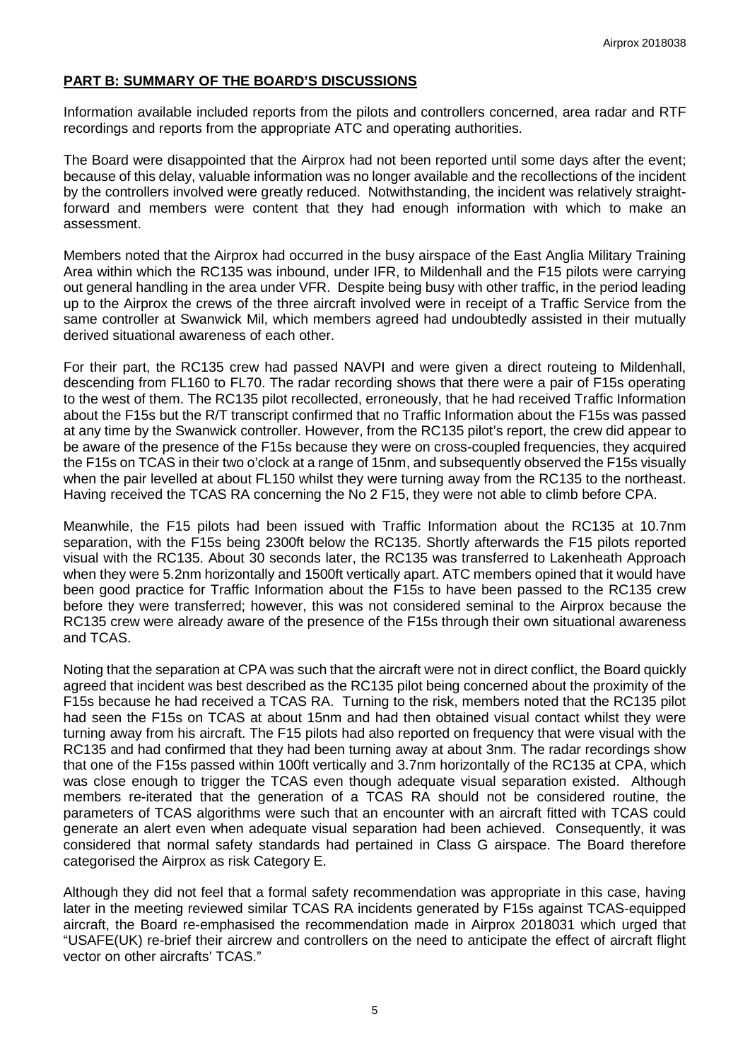# **PART B: SUMMARY OF THE BOARD'S DISCUSSIONS**

Information available included reports from the pilots and controllers concerned, area radar and RTF recordings and reports from the appropriate ATC and operating authorities.

The Board were disappointed that the Airprox had not been reported until some days after the event; because of this delay, valuable information was no longer available and the recollections of the incident by the controllers involved were greatly reduced. Notwithstanding, the incident was relatively straightforward and members were content that they had enough information with which to make an assessment.

Members noted that the Airprox had occurred in the busy airspace of the East Anglia Military Training Area within which the RC135 was inbound, under IFR, to Mildenhall and the F15 pilots were carrying out general handling in the area under VFR. Despite being busy with other traffic, in the period leading up to the Airprox the crews of the three aircraft involved were in receipt of a Traffic Service from the same controller at Swanwick Mil, which members agreed had undoubtedly assisted in their mutually derived situational awareness of each other.

For their part, the RC135 crew had passed NAVPI and were given a direct routeing to Mildenhall, descending from FL160 to FL70. The radar recording shows that there were a pair of F15s operating to the west of them. The RC135 pilot recollected, erroneously, that he had received Traffic Information about the F15s but the R/T transcript confirmed that no Traffic Information about the F15s was passed at any time by the Swanwick controller. However, from the RC135 pilot's report, the crew did appear to be aware of the presence of the F15s because they were on cross-coupled frequencies, they acquired the F15s on TCAS in their two o'clock at a range of 15nm, and subsequently observed the F15s visually when the pair levelled at about FL150 whilst they were turning away from the RC135 to the northeast. Having received the TCAS RA concerning the No 2 F15, they were not able to climb before CPA.

Meanwhile, the F15 pilots had been issued with Traffic Information about the RC135 at 10.7nm separation, with the F15s being 2300ft below the RC135. Shortly afterwards the F15 pilots reported visual with the RC135. About 30 seconds later, the RC135 was transferred to Lakenheath Approach when they were 5.2nm horizontally and 1500ft vertically apart. ATC members opined that it would have been good practice for Traffic Information about the F15s to have been passed to the RC135 crew before they were transferred; however, this was not considered seminal to the Airprox because the RC135 crew were already aware of the presence of the F15s through their own situational awareness and TCAS.

Noting that the separation at CPA was such that the aircraft were not in direct conflict, the Board quickly agreed that incident was best described as the RC135 pilot being concerned about the proximity of the F15s because he had received a TCAS RA. Turning to the risk, members noted that the RC135 pilot had seen the F15s on TCAS at about 15nm and had then obtained visual contact whilst they were turning away from his aircraft. The F15 pilots had also reported on frequency that were visual with the RC135 and had confirmed that they had been turning away at about 3nm. The radar recordings show that one of the F15s passed within 100ft vertically and 3.7nm horizontally of the RC135 at CPA, which was close enough to trigger the TCAS even though adequate visual separation existed. Although members re-iterated that the generation of a TCAS RA should not be considered routine, the parameters of TCAS algorithms were such that an encounter with an aircraft fitted with TCAS could generate an alert even when adequate visual separation had been achieved. Consequently, it was considered that normal safety standards had pertained in Class G airspace. The Board therefore categorised the Airprox as risk Category E.

Although they did not feel that a formal safety recommendation was appropriate in this case, having later in the meeting reviewed similar TCAS RA incidents generated by F15s against TCAS-equipped aircraft, the Board re-emphasised the recommendation made in Airprox 2018031 which urged that "USAFE(UK) re-brief their aircrew and controllers on the need to anticipate the effect of aircraft flight vector on other aircrafts' TCAS."